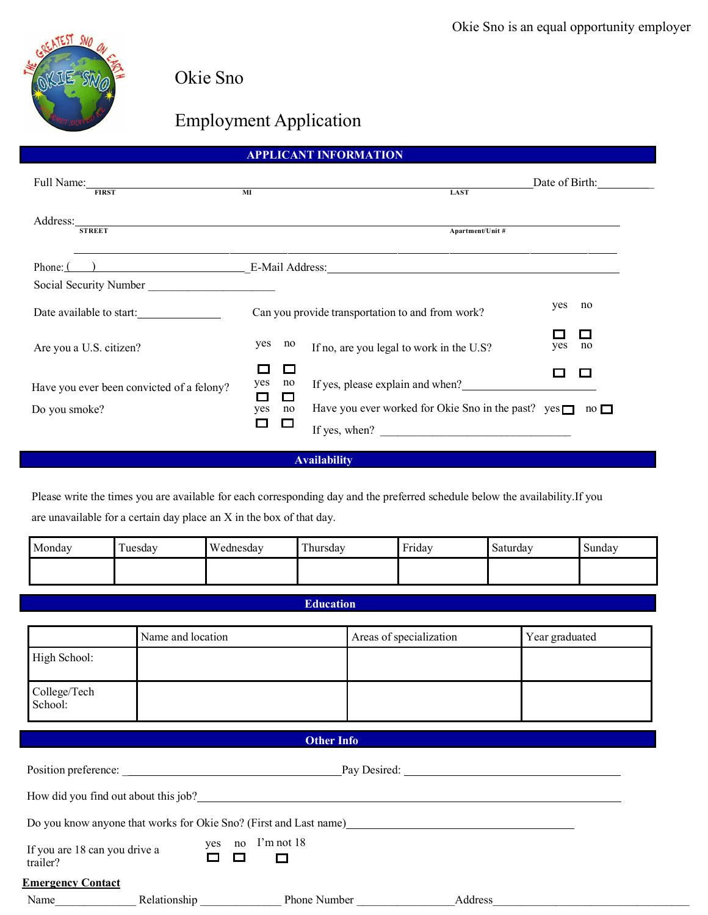

Okie Sno

# Employment Application

## **APPLICANT INFORMATION**

| Full Name: 1000 March 1000 March 1000 March 1000 March 1000 March 1000 March 1000 March 1000 March 1000 March 1000 March 1000 March 1000 March 1000 March 1000 March 1000 March 1000 March 1000 March 1000 March 1000 March 10<br><b>FIRST</b> | MI                                                         | <b>LAST</b>                                                                | Date of Birth:      |
|------------------------------------------------------------------------------------------------------------------------------------------------------------------------------------------------------------------------------------------------|------------------------------------------------------------|----------------------------------------------------------------------------|---------------------|
| Address:<br><b>STREET</b>                                                                                                                                                                                                                      |                                                            | Apartment/Unit #                                                           |                     |
|                                                                                                                                                                                                                                                |                                                            | Phone: ( ) E-Mail Address: E-Mail Address:                                 |                     |
| Social Security Number                                                                                                                                                                                                                         |                                                            |                                                                            |                     |
| Date available to start:                                                                                                                                                                                                                       |                                                            | Can you provide transportation to and from work?                           | yes<br>no           |
| Are you a U.S. citizen?                                                                                                                                                                                                                        | yes<br>no                                                  | If no, are you legal to work in the U.S?                                   | $\Box$<br>yes<br>no |
| Have you ever been convicted of a felony?                                                                                                                                                                                                      | $\Box$<br>yes<br>no<br>$\Box$<br><b>The Second Service</b> | If yes, please explain and when?                                           |                     |
| Do you smoke?                                                                                                                                                                                                                                  | yes<br>no<br>$\Box$<br>$\Box$                              | Have you ever worked for Okie Sno in the past? yes $\Box$<br>If yes, when? | $\overline{p}$      |

## **Availability**

Please write the times you are available for each corresponding day and the preferred schedule below the availability.If you are unavailable for a certain day place an X in the box of that day.

| Monday | $\overline{ }$<br>uesday | Wednesday | l crot<br>hursdav! | $\mathbf{r}$ $\mathbf{r}$ $\mathbf{r}$<br>Friday | $\sim$<br>Saturday | Sunday |
|--------|--------------------------|-----------|--------------------|--------------------------------------------------|--------------------|--------|
|        |                          |           |                    |                                                  |                    |        |

### **Education**

|                                           | Name and location | Areas of specialization                                           |         | Year graduated |
|-------------------------------------------|-------------------|-------------------------------------------------------------------|---------|----------------|
| High School:                              |                   |                                                                   |         |                |
| College/Tech<br>School:                   |                   |                                                                   |         |                |
|                                           |                   | <b>Other Info</b>                                                 |         |                |
|                                           |                   |                                                                   |         |                |
|                                           |                   | How did you find out about this job?                              |         |                |
|                                           |                   | Do you know anyone that works for Okie Sno? (First and Last name) |         |                |
| If you are 18 can you drive a<br>trailer? | П<br>$\Box$       | yes no I'm not 18<br>$\Box$                                       |         |                |
| <b>Emergency Contact</b>                  |                   |                                                                   |         |                |
| Name                                      | Relationship      | Phone Number                                                      | Address |                |